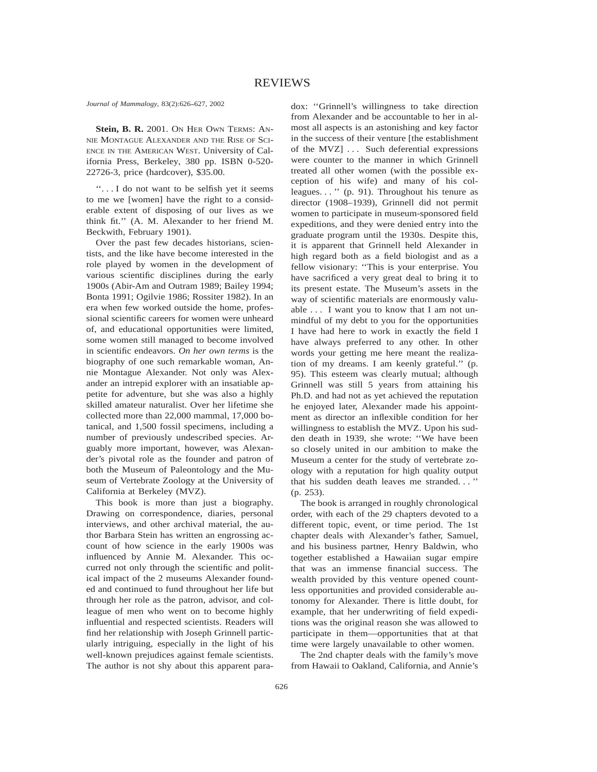*Journal of Mammalogy*, 83(2):626-627, 2002

**Stein, B. R.** 2001. ON HER OWN TERMS: AN-NIE MONTAGUE ALEXANDER AND THE RISE OF SCI-ENCE IN THE AMERICAN WEST. University of California Press, Berkeley, 380 pp. ISBN 0-520- 22726-3, price (hardcover), \$35.00.

''. . . I do not want to be selfish yet it seems to me we [women] have the right to a considerable extent of disposing of our lives as we think fit.'' (A. M. Alexander to her friend M. Beckwith, February 1901).

Over the past few decades historians, scientists, and the like have become interested in the role played by women in the development of various scientific disciplines during the early 1900s (Abir-Am and Outram 1989; Bailey 1994; Bonta 1991; Ogilvie 1986; Rossiter 1982). In an era when few worked outside the home, professional scientific careers for women were unheard of, and educational opportunities were limited, some women still managed to become involved in scientific endeavors. *On her own terms* is the biography of one such remarkable woman, Annie Montague Alexander. Not only was Alexander an intrepid explorer with an insatiable appetite for adventure, but she was also a highly skilled amateur naturalist. Over her lifetime she collected more than 22,000 mammal, 17,000 botanical, and 1,500 fossil specimens, including a number of previously undescribed species. Arguably more important, however, was Alexander's pivotal role as the founder and patron of both the Museum of Paleontology and the Museum of Vertebrate Zoology at the University of California at Berkeley (MVZ).

This book is more than just a biography. Drawing on correspondence, diaries, personal interviews, and other archival material, the author Barbara Stein has written an engrossing account of how science in the early 1900s was influenced by Annie M. Alexander. This occurred not only through the scientific and political impact of the 2 museums Alexander founded and continued to fund throughout her life but through her role as the patron, advisor, and colleague of men who went on to become highly influential and respected scientists. Readers will find her relationship with Joseph Grinnell particularly intriguing, especially in the light of his well-known prejudices against female scientists. The author is not shy about this apparent paradox: ''Grinnell's willingness to take direction from Alexander and be accountable to her in almost all aspects is an astonishing and key factor in the success of their venture [the establishment of the MVZ] . . . Such deferential expressions were counter to the manner in which Grinnell treated all other women (with the possible exception of his wife) and many of his colleagues. . . '' (p. 91). Throughout his tenure as director (1908–1939), Grinnell did not permit women to participate in museum-sponsored field expeditions, and they were denied entry into the graduate program until the 1930s. Despite this, it is apparent that Grinnell held Alexander in high regard both as a field biologist and as a fellow visionary: ''This is your enterprise. You have sacrificed a very great deal to bring it to its present estate. The Museum's assets in the way of scientific materials are enormously valuable . . . I want you to know that I am not unmindful of my debt to you for the opportunities I have had here to work in exactly the field I have always preferred to any other. In other words your getting me here meant the realization of my dreams. I am keenly grateful.'' (p. 95). This esteem was clearly mutual; although Grinnell was still 5 years from attaining his Ph.D. and had not as yet achieved the reputation he enjoyed later, Alexander made his appointment as director an inflexible condition for her willingness to establish the MVZ. Upon his sudden death in 1939, she wrote: ''We have been so closely united in our ambition to make the Museum a center for the study of vertebrate zoology with a reputation for high quality output that his sudden death leaves me stranded. . . '' (p. 253).

The book is arranged in roughly chronological order, with each of the 29 chapters devoted to a different topic, event, or time period. The 1st chapter deals with Alexander's father, Samuel, and his business partner, Henry Baldwin, who together established a Hawaiian sugar empire that was an immense financial success. The wealth provided by this venture opened countless opportunities and provided considerable autonomy for Alexander. There is little doubt, for example, that her underwriting of field expeditions was the original reason she was allowed to participate in them—opportunities that at that time were largely unavailable to other women.

The 2nd chapter deals with the family's move from Hawaii to Oakland, California, and Annie's